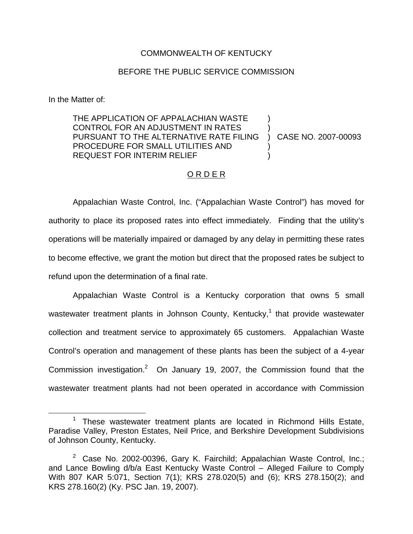## COMMONWEALTH OF KENTUCKY

## BEFORE THE PUBLIC SERVICE COMMISSION

In the Matter of:

THE APPLICATION OF APPALACHIAN WASTE CONTROL FOR AN ADJUSTMENT IN RATES PURSUANT TO THE ALTERNATIVE RATE FILING PROCEDURE FOR SMALL UTILITIES AND REQUEST FOR INTERIM RELIEF ) ) ) CASE NO. 2007-00093 ) )

## O R D E R

Appalachian Waste Control, Inc. ("Appalachian Waste Control") has moved for authority to place its proposed rates into effect immediately. Finding that the utility's operations will be materially impaired or damaged by any delay in permitting these rates to become effective, we grant the motion but direct that the proposed rates be subject to refund upon the determination of a final rate.

Appalachian Waste Control is a Kentucky corporation that owns 5 small wastewater treatment plants in Johnson County, Kentucky,<sup>1</sup> that provide wastewater collection and treatment service to approximately 65 customers. Appalachian Waste Control's operation and management of these plants has been the subject of a 4-year Commission investigation.<sup>2</sup> On January 19, 2007, the Commission found that the wastewater treatment plants had not been operated in accordance with Commission

<sup>&</sup>lt;sup>1</sup> These wastewater treatment plants are located in Richmond Hills Estate, Paradise Valley, Preston Estates, Neil Price, and Berkshire Development Subdivisions of Johnson County, Kentucky.

<sup>&</sup>lt;sup>2</sup> Case No. 2002-00396, Gary K. Fairchild; Appalachian Waste Control, Inc.; and Lance Bowling d/b/a East Kentucky Waste Control – Alleged Failure to Comply With 807 KAR 5:071, Section 7(1); KRS 278.020(5) and (6); KRS 278.150(2); and KRS 278.160(2) (Ky. PSC Jan. 19, 2007).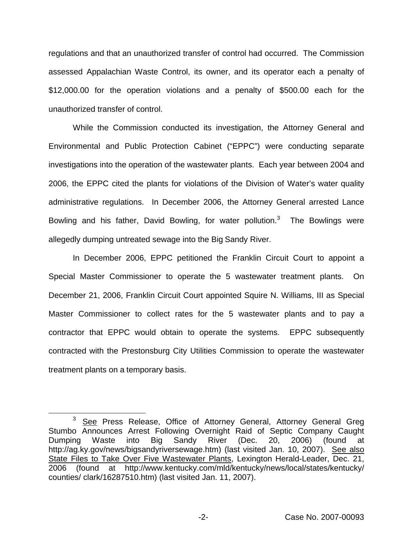regulations and that an unauthorized transfer of control had occurred. The Commission assessed Appalachian Waste Control, its owner, and its operator each a penalty of \$12,000.00 for the operation violations and a penalty of \$500.00 each for the unauthorized transfer of control.

While the Commission conducted its investigation, the Attorney General and Environmental and Public Protection Cabinet ("EPPC") were conducting separate investigations into the operation of the wastewater plants. Each year between 2004 and 2006, the EPPC cited the plants for violations of the Division of Water's water quality administrative regulations. In December 2006, the Attorney General arrested Lance Bowling and his father, David Bowling, for water pollution. $3$  The Bowlings were allegedly dumping untreated sewage into the Big Sandy River.

In December 2006, EPPC petitioned the Franklin Circuit Court to appoint a Special Master Commissioner to operate the 5 wastewater treatment plants. On December 21, 2006, Franklin Circuit Court appointed Squire N. Williams, III as Special Master Commissioner to collect rates for the 5 wastewater plants and to pay a contractor that EPPC would obtain to operate the systems. EPPC subsequently contracted with the Prestonsburg City Utilities Commission to operate the wastewater treatment plants on a temporary basis.

<sup>&</sup>lt;sup>3</sup> See Press Release, Office of Attorney General, Attorney General Greg Stumbo Announces Arrest Following Overnight Raid of Septic Company Caught Dumping Waste into Big Sandy River (Dec. 20, 2006) (found at http://ag.ky.gov/news/bigsandyriversewage.htm) (last visited Jan. 10, 2007). See also State Files to Take Over Five Wastewater Plants, Lexington Herald-Leader, Dec. 21, 2006 (found at http://www.kentucky.com/mld/kentucky/news/local/states/kentucky/ counties/ clark/16287510.htm) (last visited Jan. 11, 2007).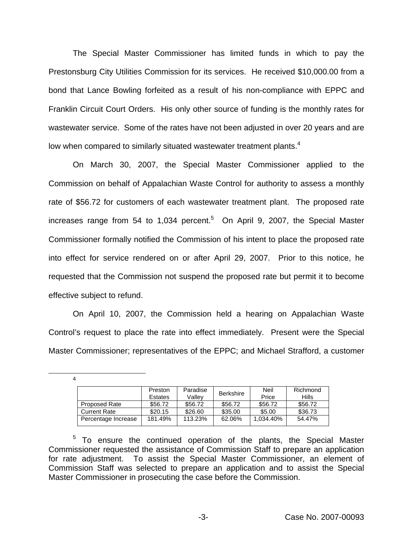The Special Master Commissioner has limited funds in which to pay the Prestonsburg City Utilities Commission for its services. He received \$10,000.00 from a bond that Lance Bowling forfeited as a result of his non-compliance with EPPC and Franklin Circuit Court Orders. His only other source of funding is the monthly rates for wastewater service. Some of the rates have not been adjusted in over 20 years and are low when compared to similarly situated wastewater treatment plants.<sup>4</sup>

On March 30, 2007, the Special Master Commissioner applied to the Commission on behalf of Appalachian Waste Control for authority to assess a monthly rate of \$56.72 for customers of each wastewater treatment plant. The proposed rate increases range from 54 to 1,034 percent.<sup>5</sup> On April 9, 2007, the Special Master Commissioner formally notified the Commission of his intent to place the proposed rate into effect for service rendered on or after April 29, 2007. Prior to this notice, he requested that the Commission not suspend the proposed rate but permit it to become effective subject to refund.

On April 10, 2007, the Commission held a hearing on Appalachian Waste Control's request to place the rate into effect immediately. Present were the Special Master Commissioner; representatives of the EPPC; and Michael Strafford, a customer

4

|                      | Preston        | Paradise | <b>Berkshire</b> | Neil      | Richmond     |
|----------------------|----------------|----------|------------------|-----------|--------------|
|                      | <b>Estates</b> | Vallev   |                  | Price     | <b>Hills</b> |
| <b>Proposed Rate</b> | \$56.72        | \$56.72  | \$56.72          | \$56.72   | \$56.72      |
| <b>Current Rate</b>  | \$20.15        | \$26.60  | \$35.00          | \$5.00    | \$36.73      |
| Percentage Increase  | 181.49%        | 113.23%  | 62.06%           | 1.034.40% | 54.47%       |

 $5$  To ensure the continued operation of the plants, the Special Master Commissioner requested the assistance of Commission Staff to prepare an application for rate adjustment. To assist the Special Master Commissioner, an element of Commission Staff was selected to prepare an application and to assist the Special Master Commissioner in prosecuting the case before the Commission.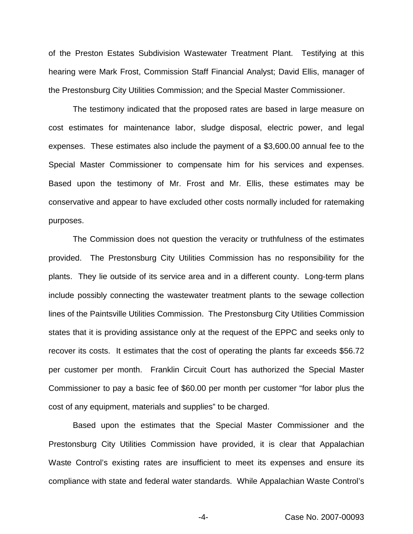of the Preston Estates Subdivision Wastewater Treatment Plant. Testifying at this hearing were Mark Frost, Commission Staff Financial Analyst; David Ellis, manager of the Prestonsburg City Utilities Commission; and the Special Master Commissioner.

The testimony indicated that the proposed rates are based in large measure on cost estimates for maintenance labor, sludge disposal, electric power, and legal expenses. These estimates also include the payment of a \$3,600.00 annual fee to the Special Master Commissioner to compensate him for his services and expenses. Based upon the testimony of Mr. Frost and Mr. Ellis, these estimates may be conservative and appear to have excluded other costs normally included for ratemaking purposes.

The Commission does not question the veracity or truthfulness of the estimates provided. The Prestonsburg City Utilities Commission has no responsibility for the plants. They lie outside of its service area and in a different county. Long-term plans include possibly connecting the wastewater treatment plants to the sewage collection lines of the Paintsville Utilities Commission. The Prestonsburg City Utilities Commission states that it is providing assistance only at the request of the EPPC and seeks only to recover its costs. It estimates that the cost of operating the plants far exceeds \$56.72 per customer per month. Franklin Circuit Court has authorized the Special Master Commissioner to pay a basic fee of \$60.00 per month per customer "for labor plus the cost of any equipment, materials and supplies" to be charged.

Based upon the estimates that the Special Master Commissioner and the Prestonsburg City Utilities Commission have provided, it is clear that Appalachian Waste Control's existing rates are insufficient to meet its expenses and ensure its compliance with state and federal water standards. While Appalachian Waste Control's

-4- Case No. 2007-00093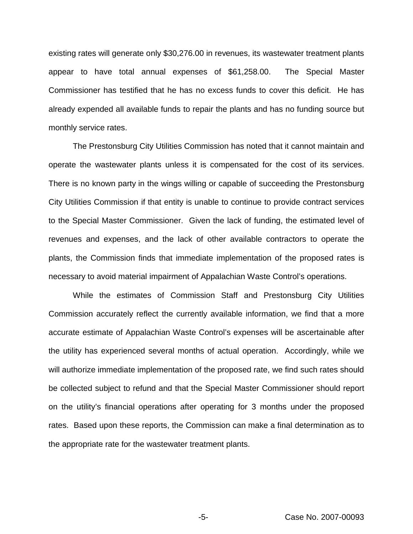existing rates will generate only \$30,276.00 in revenues, its wastewater treatment plants appear to have total annual expenses of \$61,258.00. The Special Master Commissioner has testified that he has no excess funds to cover this deficit. He has already expended all available funds to repair the plants and has no funding source but monthly service rates.

The Prestonsburg City Utilities Commission has noted that it cannot maintain and operate the wastewater plants unless it is compensated for the cost of its services. There is no known party in the wings willing or capable of succeeding the Prestonsburg City Utilities Commission if that entity is unable to continue to provide contract services to the Special Master Commissioner. Given the lack of funding, the estimated level of revenues and expenses, and the lack of other available contractors to operate the plants, the Commission finds that immediate implementation of the proposed rates is necessary to avoid material impairment of Appalachian Waste Control's operations.

While the estimates of Commission Staff and Prestonsburg City Utilities Commission accurately reflect the currently available information, we find that a more accurate estimate of Appalachian Waste Control's expenses will be ascertainable after the utility has experienced several months of actual operation. Accordingly, while we will authorize immediate implementation of the proposed rate, we find such rates should be collected subject to refund and that the Special Master Commissioner should report on the utility's financial operations after operating for 3 months under the proposed rates. Based upon these reports, the Commission can make a final determination as to the appropriate rate for the wastewater treatment plants.